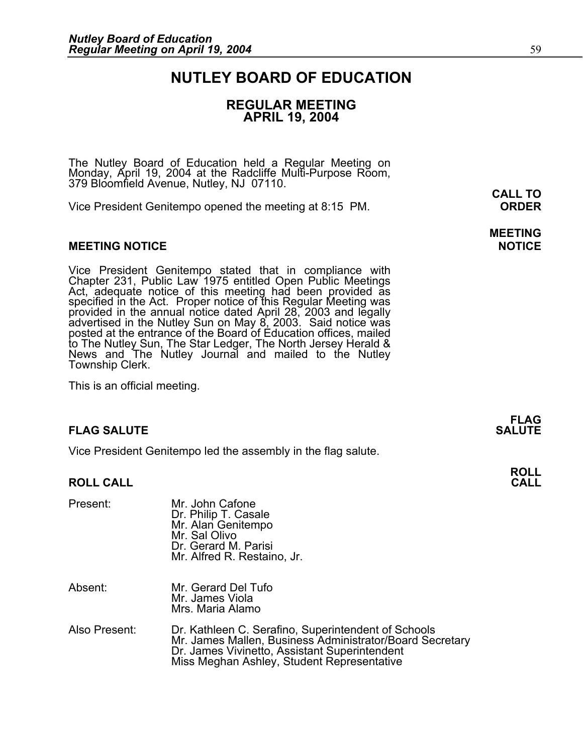## **NUTLEY BOARD OF EDUCATION**

### **REGULAR MEETING APRIL 19, 2004**

The Nutley Board of Education held a Regular Meeting on Monday, April 19, 2004 at the Radcliffe Multi-Purpose Room, 379 Bloomfield Avenue, Nutley, NJ 07110.

Vice President Genitempo opened the meeting at 8:15 PM. **ORDER**

#### **MEETING NOTICE NOTICE AND INCLUSION CONTROL**

Vice President Genitempo stated that in compliance with Chapter 231, Public Law 1975 entitled Open Public Meetings Act, adequate notice of this meeting had been provided as specified in the Act. Proper notice of this Regular Meeting was<br>provided in the annual notice dated April 28, 2003 and legally<br>advertised in the Nutley Sun on May 8, 2003. Said notice was<br>posted at the entrance of the Boar to The Nutley Sun, The Star Ledger, The North Jersey Herald &<br>News and The Nutley Journal and mailed to the Nutley Township Clerk.

This is an official meeting.

### **FLAG SALUTE** SALUTE

Vice President Genitempo led the assembly in the flag salute.

#### **ROLL CALL**

| Present:      | Mr. John Cafone<br>Dr. Philip T. Casale<br>Mr. Alan Genitempo<br>Mr. Sal Olivo<br>Dr. Gerard M. Parisi<br>Mr. Alfred R. Restaino, Jr.                                                                          |
|---------------|----------------------------------------------------------------------------------------------------------------------------------------------------------------------------------------------------------------|
| Absent:       | Mr. Gerard Del Tufo<br>Mr. James Viola<br>Mrs. Maria Alamo                                                                                                                                                     |
| Also Present: | Dr. Kathleen C. Serafino, Superintendent of Schools<br>Mr. James Mallen, Business Administrator/Board Secretary<br>Dr. James Vivinetto, Assistant Superintendent<br>Miss Meghan Ashley, Student Representative |

**CALL TO** 

## **MEETING**

**FLAG**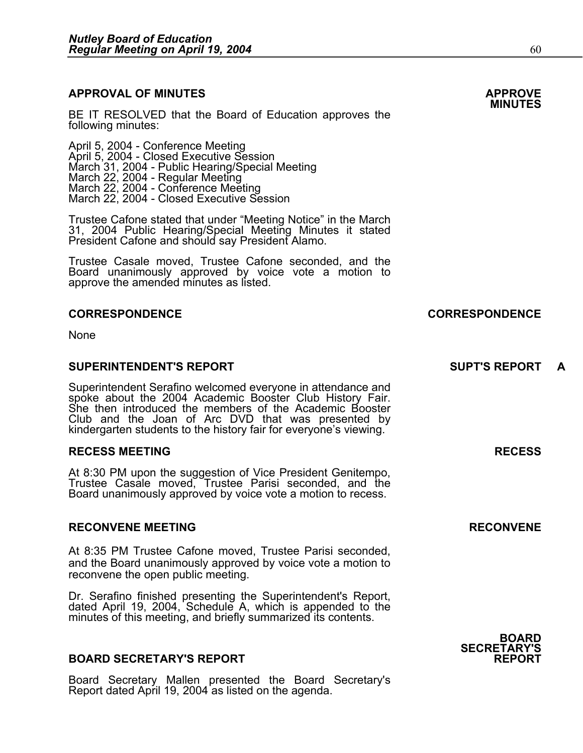#### **APPROVAL OF MINUTES APPROVE**

**BE IT RESOLVED that the Board of Education approves the <b>MINUTES**<br>following minutes:

April 5, 2004 - Conference Meeting<br>April 5, 2004 - Closed Executive Session<br>March 31, 2004 - Public Hearing/Special Meeting March 22, 2004 - Regular Meeting<br>March 22, 2004 - Conference Meeting<br>March 22, 2004 - Closed Executive Session

Trustee Cafone stated that under "Meeting Notice" in the March 31, 2004 Public Hearing/Special Meeting Minutes it stated President Cafone and should say President Alamo.

Trustee Casale moved, Trustee Cafone seconded, and the Board unanimously approved by voice vote a motion to approve the amended minutes as listed.

None

#### **SUPERINTENDENT'S REPORT SUPT'S REPORT A**

Superintendent Serafino welcomed everyone in attendance and spoke about the 2004 Academic Booster Club History Fair. She then introduced the members of the Academic Booster Club and the Joan of Arc DVD that was presented by kindergarten students to the history fair for everyone's viewing.

#### **RECESS MEETING RECESS**

At 8:30 PM upon the suggestion of Vice President Genitempo, Trustee Casale moved, Trustee Parisi seconded, and the Board unanimously approved by voice vote a motion to recess.

#### **RECONVENE MEETING RECONVENE**

At 8:35 PM Trustee Cafone moved, Trustee Parisi seconded, and the Board unanimously approved by voice vote a motion to reconvene the open public meeting.

Dr. Serafino finished presenting the Superintendent's Report, dated April 19, 2004, Schedule A, which is appended to the minutes of this meeting, and briefly summarized its contents.

#### **BOARD SECRETARY'S REPORT**

Board Secretary Mallen presented the Board Secretary's Report dated April 19, 2004 as listed on the agenda.

# **BOARD**

**SECRETARY'S** 

### **CORRESPONDENCE CORRESPONDENCE**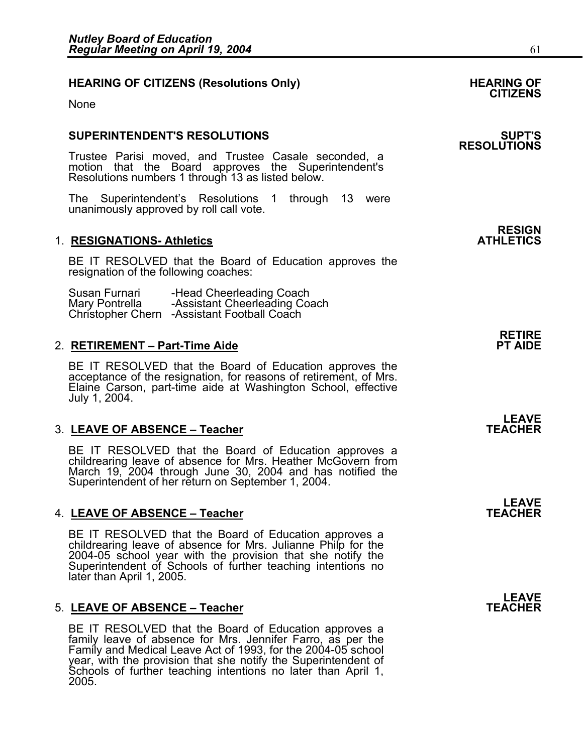#### HEARING OF CITIZENS (Resolutions Only) **HEARING OF SEARING** OF

None

#### **SUPERINTENDENT'S RESOLUTIONS SUPT'S**

Trustee Parisi moved, and Trustee Casale seconded, a motion that the Board approves the Superintendent's Resolutions numbers 1 through 13 as listed below.

The Superintendent's Resolutions 1 through 13 were unanimously approved by roll call vote.

#### **1. RESIGNATIONS- Athletics**

BE IT RESOLVED that the Board of Education approves the resignation of the following coaches:

Susan Furnari -Head Cheerleading Coach<br>Mary Pontrella -Assistant Cheerleading Coach<br>Christopher Chern -Assistant Football Coach

#### 2. **RETIREMENT – Part-Time Aide**

BE IT RESOLVED that the Board of Education approves the acceptance of the resignation, for reasons of retirement, of Mrs. Elaine Carson, part-time aide at Washington School, effective July 1, 2004.

#### 3. LEAVE OF ABSENCE - Teacher

BE IT RESOLVED that the Board of Education approves a childrearing leave of absence for Mrs. Heather McGovern from March 19, 2004 through June 30, 2004 and has notified the Superintendent of her return on September 1, 2004.

#### 4. LEAVE OF ABSENCE - Teacher

BE IT RESOLVED that the Board of Education approves a childrearing leave of absence for Mrs. Julianne Philp for the 2004-05 school year with the provision that she notify the Superintendent of Schools of further teaching intentions no later than April 1, 2005.

#### 5. LEAVE OF ABSENCE - Teacher

BE IT RESOLVED that the Board of Education approves a family leave of absence for Mrs. Jennifer Farro, as per the Family and Medical Leave Act of 1993, for the 2004-05 school year, with the provision that she notify the Superintendent of Schools of further teaching intentions no later than April 1, 2005.

## **CITIZENS**

# **RESOLUTIONS**

**RESIGN<br>ATHLETICS** 

**RETIRE** 

**LEAVE**<br>TEACHER

**LEAVE**<br>TEACHER

**LEAVE**<br>TEACHER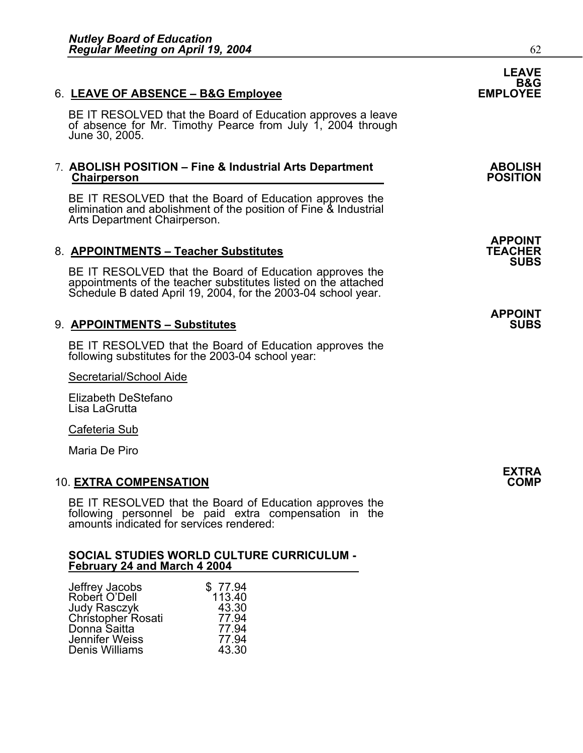### 6. LEAVE OF ABSENCE - B&G Employee

BE IT RESOLVED that the Board of Education approves a leave of absence for Mr. Timothy Pearce from July 1, 2004 through June 30, 2005.

#### 7. **ABOLISH POSITION – Fine & Industrial Arts Department** (ABOLISH Chairperson **Chairperson**

BE IT RESOLVED that the Board of Education approves the elimination and abolishment of the position of Fine & Industrial Arts Department Chairperson.

#### 8. **APPOINTMENTS – Teacher Substitutes**

BE IT RESOLVED that the Board of Education approves the appointments of the teacher substitutes listed on the attached Schedule B dated April 19, 2004, for the 2003-04 school year.

#### 9. **APPOINTMENTS – Substitutes**

BE IT RESOLVED that the Board of Education approves the following substitutes for the 2003-04 school year:

Secretarial/School Aide

Elizabeth DeStefano Lisa LaGrutta

Cafeteria Sub

Maria De Piro

#### 10. **EXTRA COMPENSATION COMP**

BE IT RESOLVED that the Board of Education approves the following personnel be paid extra compensation in the amounts indicated for services rendered:

#### **SOCIAL STUDIES WORLD CULTURE CURRICULUM - February 24 and March 4 2004**

| Jeffrey Jacobs        | \$77.94 |
|-----------------------|---------|
| Robert O'Dell         | 113.40  |
| <b>Judy Rasczyk</b>   | 43.30   |
| Christopher Rosati    | 77.94   |
| Donna Saitta          | 77.94   |
| <b>Jennifer Weiss</b> | 77.94   |
| Denis Williams        | 43.30   |

**LEAVE**  B&G<br>EMPLOYEE

**APPOINT SUBS** 

**APPOINT**

 **EXTRA**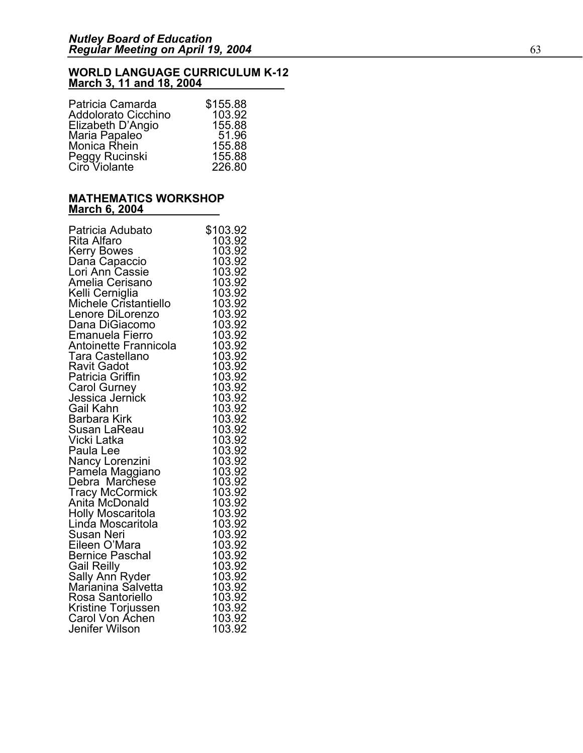#### **WORLD LANGUAGE CURRICULUM K-12 March 3, 11 and 18, 2004**

| \$155.88 |
|----------|
| 103.92   |
| 155.88   |
| 51.96    |
| 155.88   |
| 155.88   |
| 226.80   |
|          |

#### **MATHEMATICS WORKSHOP March 6, 2004**

| Patricia Adubato                      | \$103.92                |
|---------------------------------------|-------------------------|
| Rita Alfaro                           | 103.92                  |
| <b>Kerry Bowes</b>                    | 103.92                  |
| Dana Capaccio                         | 103.92                  |
| Lori Ann Cassie                       | 103.92                  |
| Amelia Cerisano                       | 103.92                  |
| Kelli Cerniglia                       | 103.92                  |
| Michele Cristantiello                 | 103.92                  |
| Lenore DiLorenzo                      | 103.92                  |
| Dana DiGiacomo                        | 103.92                  |
| <b>Emanuela Fierro</b>                | 103.92                  |
| Antoinette Frannicola                 | 103.92                  |
| Tara Castellano                       | 103.92                  |
| Ravit Gadot                           | 103.92                  |
| Patricia Griffin                      | 103.92                  |
| <b>Carol Gurney</b>                   | 103.92                  |
| Jessica Jernick                       | 103.92                  |
| Gail Kahn                             | 103.92                  |
| Barbara Kirk                          | 103.92                  |
| Susan LaReau                          | 103.92                  |
| Vicki Latka                           | 103.92                  |
| Paula Lee                             | 103.92                  |
| Nancy Lorenzini                       | 103.92                  |
| Paméla Maggiano                       | 103.92                  |
| Debra Marchese                        | 103.92                  |
| Tracy McCormick<br>Anita McDonald     | 103.92                  |
|                                       | 103.92                  |
| <b>Holly Moscaritola</b>              | 103.92                  |
| Linda Moscaritola                     | 103.92                  |
| Susan Neri                            | 103.92                  |
| Eileen O'Mara                         | 103.92                  |
| <b>Bernice Paschal</b>                | 103.92                  |
| <b>Gail Reilly</b>                    | 103.92                  |
| Sally Ann Ryder<br>Marianina Salvetta | 103.92                  |
|                                       | $\frac{100.02}{103.92}$ |
| Rosa Santoriello                      | 103.92                  |
| Kristine Torjussen                    | 103.92                  |
| Carol Von Achen                       | 103.92                  |
| Jenifer Wilson                        | 103.92                  |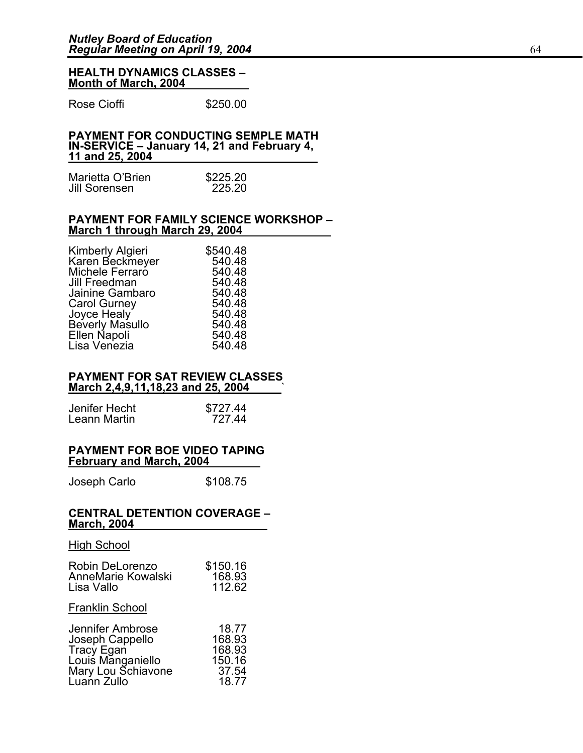#### **HEALTH DYNAMICS CLASSES – Month of March, 2004**

Rose Cioffi **\$250.00** 

#### **PAYMENT FOR CONDUCTING SEMPLE MATH IN-SERVICE – January 14, 21 and February 4, 11 and 25, 2004**

| Marietta O'Brien | \$225.20 |
|------------------|----------|
| Jill Sorensen    | 225.20   |

#### **PAYMENT FOR FAMILY SCIENCE WORKSHOP – March 1 through March 29, 2004**

| Kimberly Algieri    | \$540.48 |
|---------------------|----------|
| Karen Beckmeyer     | 540.48   |
| Michele Ferraro     | 540.48   |
| Jill Freedman       | 540.48   |
| Jainine Gambaro     | 540.48   |
| <b>Carol Gurney</b> | 540.48   |
| Joyce Healy         | 540.48   |
| Beverly Masullo     | 540.48   |
| Ellen Napoli        | 540.48   |
| Lisa Venezia        | 540.48   |
|                     |          |

#### **PAYMENT FOR SAT REVIEW CLASSES March 2,4,9,11,18,23 and 25, 2004** `

| Jenifer Hecht | \$727.44 |
|---------------|----------|
| Leann Martin  | 727.44   |

#### **PAYMENT FOR BOE VIDEO TAPING February and March, 2004**

Joseph Carlo \$108.75

#### **CENTRAL DETENTION COVERAGE – March, 2004**

#### High School

| Robin DeLorenzo        | \$150.16 |
|------------------------|----------|
| AnneMarie Kowalski     | 168.93   |
| Lisa Vallo             | 112.62   |
| <b>Franklin School</b> |          |
| Jennifer Ambrose       | 18.77    |
| Joseph Cappello        | 168.93   |
| <b>Tracy Egan</b>      | 168.93   |
| Louis Manganiello      | 150.16   |
| Mary Lou Schiavone     | 37.54    |
| Luann Zullo            | 18.77    |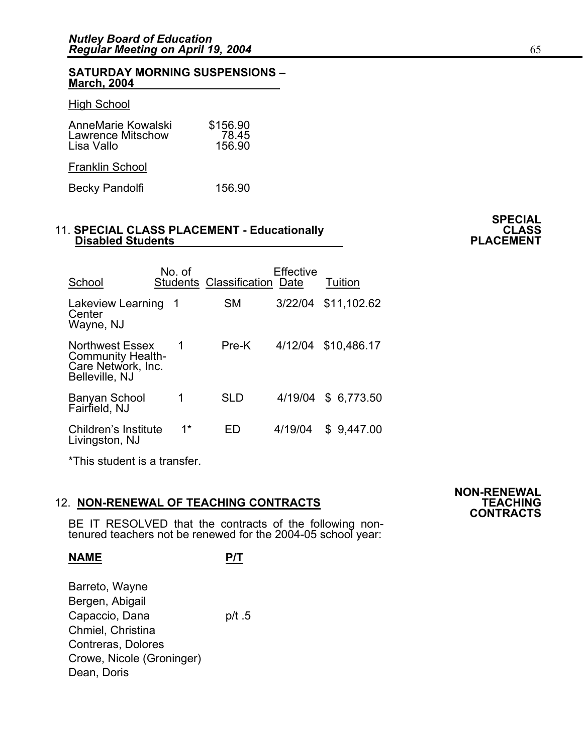#### **SATURDAY MORNING SUSPENSIONS – March, 2004**

#### **High School**

| AnneMarie Kowalski       | \$156.90 |
|--------------------------|----------|
| <b>Lawrence Mitschow</b> | 78.45    |
| Lisa Vallo               | 156.90   |
| <b>Franklin School</b>   |          |

Becky Pandolfi 156.90

## 11. **SPECIAL CLASS PLACEMENT - Educationally CLASS** CLASS Disabled Students **PLACEMENT**

| School                                                                                     | No. of | <b>Students Classification Date</b> | <b>Effective</b> | Tuition     |
|--------------------------------------------------------------------------------------------|--------|-------------------------------------|------------------|-------------|
| Lakeview Learning<br>Center<br>Wayne, NJ                                                   | - 1    | SМ                                  | 3/22/04          | \$11,102.62 |
| <b>Northwest Essex</b><br><b>Community Health-</b><br>Care Network, Inc.<br>Belleville, NJ | 1      | Pre-K                               | 4/12/04          | \$10,486.17 |
| Banyan School<br>Fairfield, NJ                                                             | 1      | <b>SLD</b>                          | 4/19/04          | \$ 6,773.50 |
| Children's Institute<br>Livingston, NJ                                                     | $1*$   | HD                                  | 4/19/04          | \$9,447.00  |

\*This student is a transfer.

## 12. **NON-RENEWAL OF TEACHING CONTRACTS TEACHING CONTRACTS**

BE IT RESOLVED that the contracts of the following non-<br>tenured teachers not be renewed for the 2004-05 school year:

#### **NAME P/T**

Barreto, Wayne Bergen, Abigail Capaccio, Dana p/t .5 Chmiel, Christina Contreras, Dolores Crowe, Nicole (Groninger) Dean, Doris

# **NON-RENEWAL**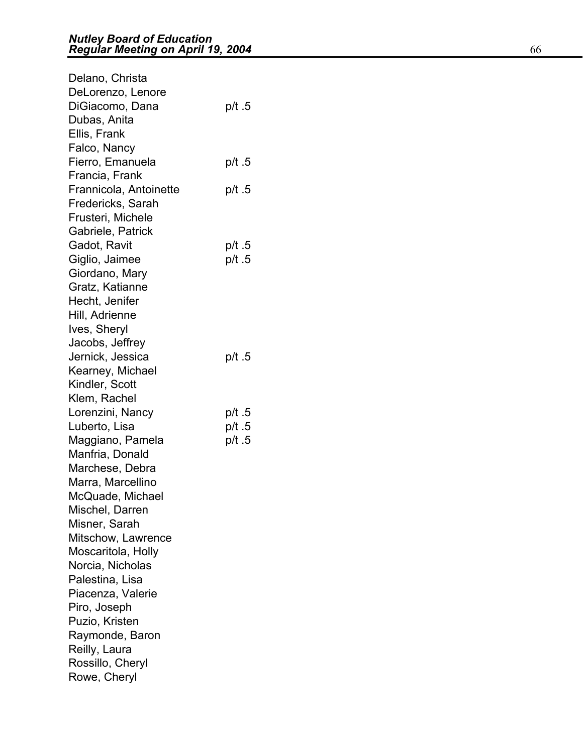| Delano, Christa        |        |
|------------------------|--------|
| DeLorenzo, Lenore      |        |
| DiGiacomo, Dana        | p/t.5  |
| Dubas, Anita           |        |
| Ellis, Frank           |        |
| Falco, Nancy           |        |
| Fierro, Emanuela       | p/t .5 |
| Francia, Frank         |        |
| Frannicola, Antoinette | p/t .5 |
| Fredericks, Sarah      |        |
| Frusteri, Michele      |        |
| Gabriele, Patrick      |        |
| Gadot, Ravit           | p/t .5 |
| Giglio, Jaimee         | p/t .5 |
| Giordano, Mary         |        |
| Gratz, Katianne        |        |
| Hecht, Jenifer         |        |
| Hill, Adrienne         |        |
| Ives, Sheryl           |        |
| Jacobs, Jeffrey        |        |
| Jernick, Jessica       | p/t .5 |
| Kearney, Michael       |        |
| Kindler, Scott         |        |
| Klem, Rachel           |        |
| Lorenzini, Nancy       | p/t .5 |
| Luberto, Lisa          | p/t.5  |
| Maggiano, Pamela       | p/t .5 |
| Manfria, Donald        |        |
| Marchese, Debra        |        |
| Marra, Marcellino      |        |
| McQuade, Michael       |        |
| Mischel, Darren        |        |
| Misner, Sarah          |        |
| Mitschow, Lawrence     |        |
| Moscaritola, Holly     |        |
| Norcia, Nicholas       |        |
| Palestina, Lisa        |        |
| Piacenza, Valerie      |        |
| Piro, Joseph           |        |
| Puzio, Kristen         |        |
| Raymonde, Baron        |        |
| Reilly, Laura          |        |
| Rossillo, Cheryl       |        |
| Rowe, Cheryl           |        |
|                        |        |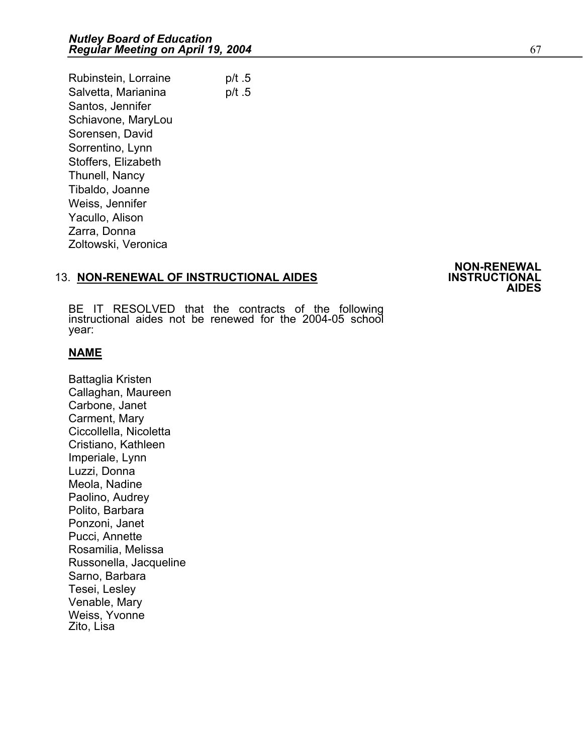Rubinstein, Lorraine p/t .5 Salvetta, Marianina p/t.5 Santos, Jennifer Schiavone, MaryLou Sorensen, David Sorrentino, Lynn Stoffers, Elizabeth Thunell, Nancy Tibaldo, Joanne Weiss, Jennifer Yacullo, Alison Zarra, Donna Zoltowski, Veronica

## 13. **NON-RENEWAL OF INSTRUCTIONAL AIDES INSTRUCTIONAL AIDES**

**NON-RENEWAL** 

BE IT RESOLVED that the contracts of the following instructional aides not be renewed for the 2004-05 school year:

#### **NAME**

Battaglia Kristen Callaghan, Maureen Carbone, Janet Carment, Mary Ciccollella, Nicoletta Cristiano, Kathleen Imperiale, Lynn Luzzi, Donna Meola, Nadine Paolino, Audrey Polito, Barbara Ponzoni, Janet Pucci, Annette Rosamilia, Melissa Russonella, Jacqueline Sarno, Barbara Tesei, Lesley Venable, Mary Weiss, Yvonne Zito, Lisa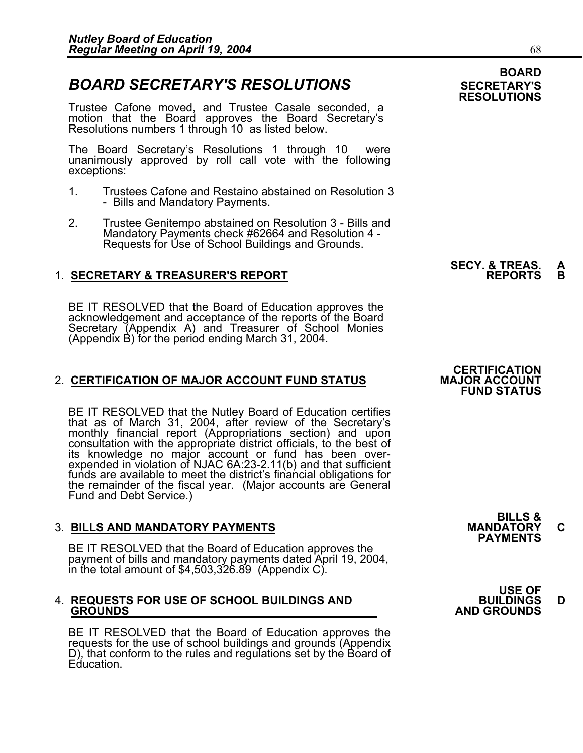#### **BOARD BOARD SECRETARY'S RESOLUTIONS** SECRETARY'S

Trustee Cafone moved, and Trustee Casale seconded, a motion that the Board approves the Board Secretary's Resolutions numbers 1 through 10 as listed below.

The Board Secretary's Resolutions 1 through 10 were unanimously approved by roll call vote with the following exceptions:

- 1. Trustees Cafone and Restaino abstained on Resolution 3 - Bills and Mandatory Payments.
- 2. Trustee Genitempo abstained on Resolution 3 Bills and Mandatory Payments check #62664 and Resolution 4 - Requests for Use of School Buildings and Grounds.

#### 1. **SECRETARY & TREASURER'S REPORT**

BE IT RESOLVED that the Board of Education approves the acknowledgement and acceptance of the reports of the Board acknowledgement and acceptance of the reports of the Board<br>Secretary (Appendix A) and Treasurer of School Monies (Appendix B) for the period ending March 31, 2004.

#### 2. CERTIFICATION OF MAJOR ACCOUNT FUND STATUS

BE IT RESOLVED that the Nutley Board of Education certifies that as of March 31, 2004, after review of the Secretary's monthly financial report (Appropriations section) and upon consultation with the appropriate district officials, to the best of its knowledge no major account or fund has been overexpended in violation of NJAC 6A:23-2.11(b) and that sufficient<br>funds are available to meet the district's financial obligations for funds are available to meet the district's financial obligations for the remainder of the fiscal year. (Major accounts are General Fund and Debt Service.)

3. BILLS AND MANDATORY PAYMENTS<br>BE IT RESOLVED that the Board of Education approves the **PAYMENTS** payment of bills and mandatory payments dated April 19, 2004, in the total amount of \$4,503,326.89 (Appendix C).

## 4. **REQUESTS FOR USE OF SCHOOL BUILDINGS AND BUILDINGS D GROUNDS AND GROUNDS**

BE IT RESOLVED that the Board of Education approves the requests for the use of school buildings and grounds (Appendix D), that conform to the rules and regulations set by the Board of Education.

# **SECY. & TREAS. A**

## **CERTIFICATION<br>MAJOR ACCOUNT FUND STATUS**



|                                                 | <b>USE OF</b>      |
|-------------------------------------------------|--------------------|
| <b>REQUESTS FOR USE OF SCHOOL BUILDINGS AND</b> | <b>BUILDINGS</b>   |
| <b>GROUNDS</b>                                  | <b>AND GROUNDS</b> |

# **RESOLUTIONS**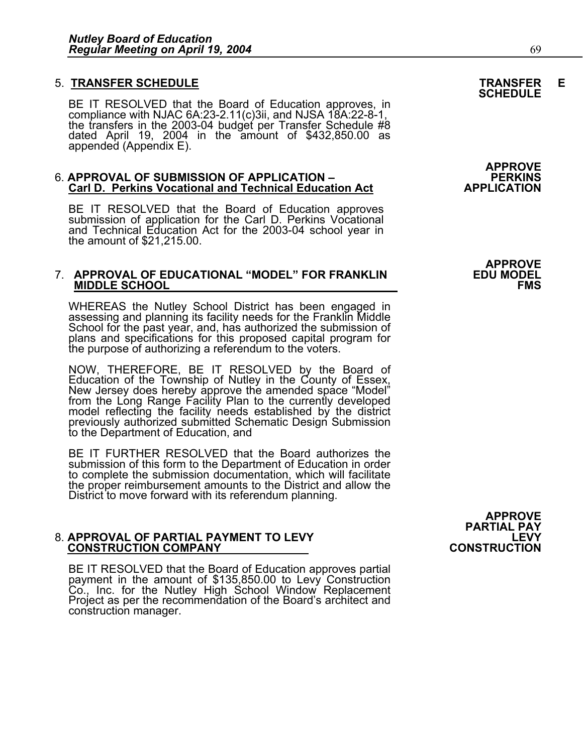5. **TRANSFER SCHEDULE**<br>BE IT RESOLVED that the Board of Education approves, in **SCHEDULE** compliance with NJAC 6A:23-2.11(c)3ii, and NJSA 18A:22-8-1, the transfers in the 2003-04 budget per Transfer Schedule #8 dated April 19, 2004 in the amount of \$432,850.00 as appended (Appendix E).

### APPROVE<br>APPROVAL OF SUBMISSION OF APPLICATION –<br>APPLICATION Carl D. Perkins Vocational and Technical Education Act **PREMICATION Carl D. Perkins Vocational and Technical Education Act**

BE IT RESOLVED that the Board of Education approves submission of application for the Carl D. Perkins Vocational and Technical Education Act for the 2003-04 school year in the amount of \$21,215.00.

## 7. **APPROVAL OF EDUCATIONAL "MODEL" FOR FRANKLIN EDU MODEL MIDDLE SCHOOL FMS**

WHEREAS the Nutley School District has been engaged in assessing and planning its facility needs for the Franklin Middle School for the past year, and, has authorized the submission of plans and specifications for this proposed capital program for the purpose of authorizing a referendum to the voters.

NOW, THEREFORE, BE IT RESOLVED by the Board of Education of the Township of Nutley in the County of Essex, New Jersey does hereby approve the amended space "Model" from the Long Range Facility Plan to the currently develop

BE IT FURTHER RESOLVED that the Board authorizes the submission of this form to the Department of Education in order to complete the submission documentation, which will facilitate the proper reimbursement amounts to the District and allow the District to move forward with its referendum planning.

## 8. **APPROVAL OF PARTIAL PAYMENT TO LEVY LEVY CONSTRUCTION COMPANY CONSTRUCTION**

BE IT RESOLVED that the Board of Education approves partial payment in the amount of \$135,850.00 to Levy Construction Co., Inc. for the Nutley High School Window Replacement Project as per the recommendation of the Board's architect and construction manager.

**APPROVE** 

**APPROVE<br>PARTIAL PAY<br>FVY I**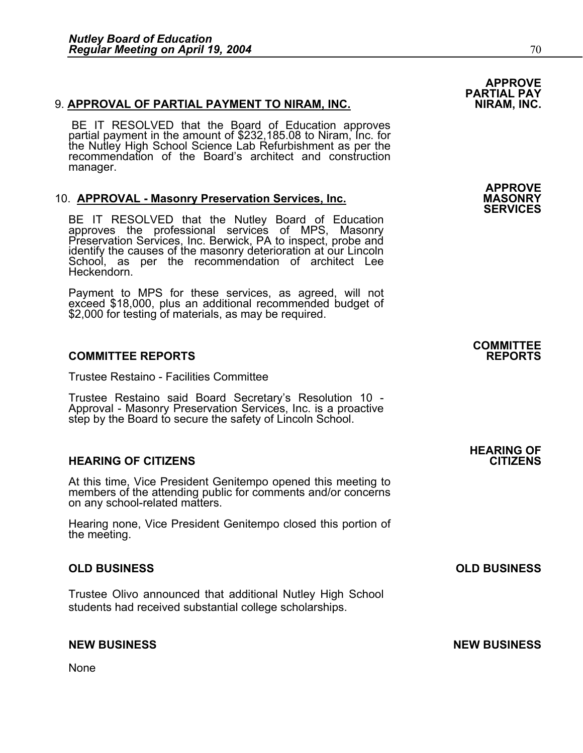#### 9. **APPROVAL OF PARTIAL PAYMENT TO NIRAM, INC.**

BE IT RESOLVED that the Board of Education approves partial payment in the amount of \$232,185.08 to Niram, Inc. for the Nutley High School Science Lab Refurbishment as per the<br>recommendation of the Board's architect and construction recommendation of the Board's architect and construction manager.

10. **APPROVAL - Masonry Preservation Services, Inc. MASONRY SERVICES**<br>**BE IT RESOLVED that the Nutley Board of Education** approves the professional services of MPS, Masonry<br>Preservation Services, Inc. Berwick, PA to inspect, probe and<br>identify the causes of the masonry deterioration at our Lincoln<br>School, as per the recommendation of architec Heckendorn.

Payment to MPS for these services, as agreed, will not exceed \$18,000, plus an additional recommended budget of \$2,000 for testing of materials, as may be required.

#### **COMMITTEE REPORTS REPORTS**

Trustee Restaino - Facilities Committee

Trustee Restaino said Board Secretary's Resolution 10 - Approval - Masonry Preservation Services, Inc. is a proactive step by the Board to secure the safety of Lincoln School.

#### **HEARING OF CITIZENS CITIZENS**

At this time, Vice President Genitempo opened this meeting to members of the attending public for comments and/or concerns on any school-related matters.

Hearing none, Vice President Genitempo closed this portion of the meeting.

#### **OLD BUSINESS OLD BUSINESS**

Trustee Olivo announced that additional Nutley High School students had received substantial college scholarships.

#### **NEW BUSINESS NEW BUSINESS**

None

# **APPROVE PARTIAL PAY**

**APPROVE** 

## **COMMITTEE**

# **HEARING OF**